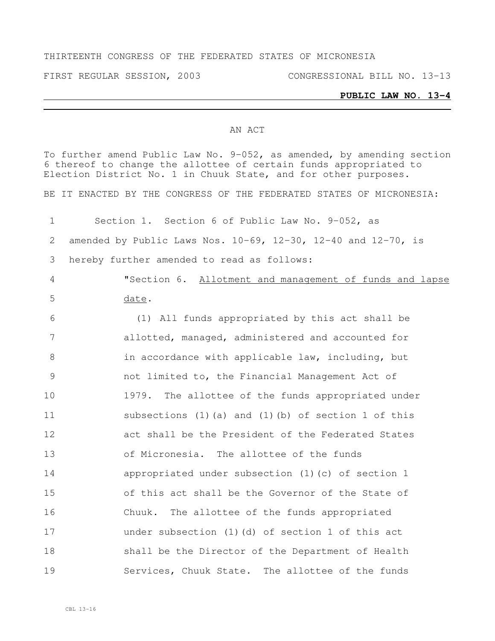#### THIRTEENTH CONGRESS OF THE FEDERATED STATES OF MICRONESIA

FIRST REGULAR SESSION, 2003 CONGRESSIONAL BILL NO. 13-13

#### **PUBLIC LAW NO. 13-4**

#### AN ACT

To further amend Public Law No. 9-052, as amended, by amending section thereof to change the allottee of certain funds appropriated to Election District No. 1 in Chuuk State, and for other purposes. BE IT ENACTED BY THE CONGRESS OF THE FEDERATED STATES OF MICRONESIA: Section 1. Section 6 of Public Law No. 9-052, as amended by Public Laws Nos. 10-69, 12-30, 12-40 and 12-70, is hereby further amended to read as follows: "Section 6. Allotment and management of funds and lapse date. (1) All funds appropriated by this act shall be allotted, managed, administered and accounted for 8 in accordance with applicable law, including, but not limited to, the Financial Management Act of 1979. The allottee of the funds appropriated under subsections (1)(a) and (1)(b) of section 1 of this act shall be the President of the Federated States of Micronesia. The allottee of the funds appropriated under subsection (1)(c) of section 1 of this act shall be the Governor of the State of Chuuk. The allottee of the funds appropriated under subsection (1)(d) of section 1 of this act shall be the Director of the Department of Health Services, Chuuk State. The allottee of the funds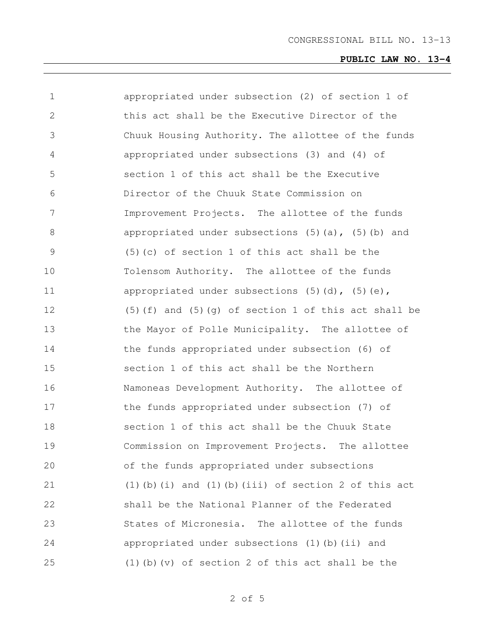| 1             | appropriated under subsection (2) of section 1 of          |
|---------------|------------------------------------------------------------|
| 2             | this act shall be the Executive Director of the            |
| 3             | Chuuk Housing Authority. The allottee of the funds         |
| 4             | appropriated under subsections (3) and (4) of              |
| 5             | section 1 of this act shall be the Executive               |
| 6             | Director of the Chuuk State Commission on                  |
| 7             | Improvement Projects. The allottee of the funds            |
| $8\,$         | appropriated under subsections $(5)$ (a), $(5)$ (b) and    |
| $\mathcal{G}$ | $(5)$ (c) of section 1 of this act shall be the            |
| 10            | Tolensom Authority. The allottee of the funds              |
| 11            | appropriated under subsections $(5)$ $(d)$ , $(5)$ $(e)$ , |
| 12            | $(5)$ (f) and $(5)$ (g) of section 1 of this act shall be  |
| 13            | the Mayor of Polle Municipality. The allottee of           |
| 14            | the funds appropriated under subsection (6) of             |
| 15            | section 1 of this act shall be the Northern                |
| 16            | Namoneas Development Authority. The allottee of            |
| 17            | the funds appropriated under subsection (7) of             |
| 18            | section 1 of this act shall be the Chuuk State             |
| 19            | Commission on Improvement Projects. The allottee           |
| 20            | of the funds appropriated under subsections                |
| 21            | $(1)$ (b) (i) and (1) (b) (iii) of section 2 of this act   |
| 22            | shall be the National Planner of the Federated             |
| 23            | States of Micronesia. The allottee of the funds            |
| 24            | appropriated under subsections (1) (b) (ii) and            |
| 25            | $(1)$ (b) (v) of section 2 of this act shall be the        |
|               |                                                            |

of 5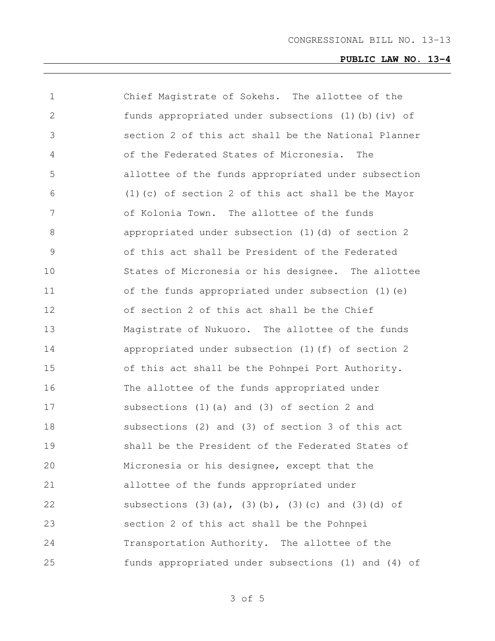| $\mathbf 1$   | Chief Magistrate of Sokehs. The allottee of the     |
|---------------|-----------------------------------------------------|
| 2             | funds appropriated under subsections (1)(b)(iv) of  |
| 3             | section 2 of this act shall be the National Planner |
| 4             | of the Federated States of Micronesia.<br>The       |
| 5             | allottee of the funds appropriated under subsection |
| 6             | (1) (c) of section 2 of this act shall be the Mayor |
| 7             | of Kolonia Town. The allottee of the funds          |
| 8             | appropriated under subsection (1) (d) of section 2  |
| $\mathcal{G}$ | of this act shall be President of the Federated     |
| 10            | States of Micronesia or his designee. The allottee  |
| 11            | of the funds appropriated under subsection (1) (e)  |
| 12            | of section 2 of this act shall be the Chief         |
| 13            | Magistrate of Nukuoro. The allottee of the funds    |
| 14            | appropriated under subsection (1) (f) of section 2  |
| 15            | of this act shall be the Pohnpei Port Authority.    |
| 16            | The allottee of the funds appropriated under        |
| 17            | subsections (1) (a) and (3) of section 2 and        |
| 18            | subsections (2) and (3) of section 3 of this act    |
| 19            | shall be the President of the Federated States of   |
| 20            | Micronesia or his designee, except that the         |
| 21            | allottee of the funds appropriated under            |
| 22            | subsections (3)(a), (3)(b), (3)(c) and (3)(d) of    |
| 23            | section 2 of this act shall be the Pohnpei          |
| 24            | Transportation Authority. The allottee of the       |
| 25            | funds appropriated under subsections (1) and (4) of |

of 5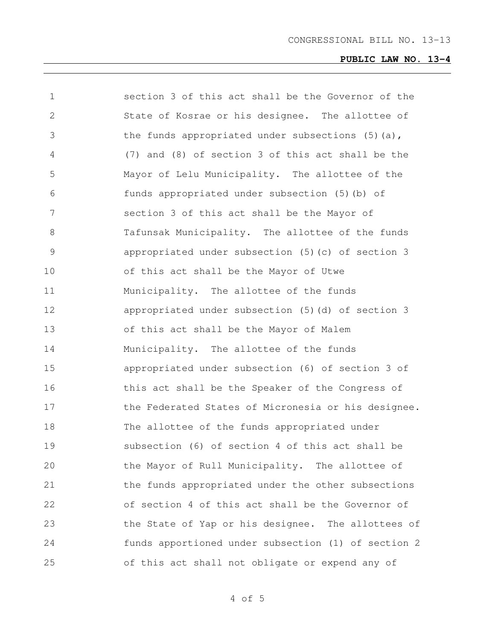| 1             | section 3 of this act shall be the Governor of the  |
|---------------|-----------------------------------------------------|
| 2             | State of Kosrae or his designee. The allottee of    |
| 3             | the funds appropriated under subsections (5) (a),   |
| 4             | (7) and (8) of section 3 of this act shall be the   |
| 5             | Mayor of Lelu Municipality. The allottee of the     |
| 6             | funds appropriated under subsection (5) (b) of      |
| 7             | section 3 of this act shall be the Mayor of         |
| $8\,$         | Tafunsak Municipality. The allottee of the funds    |
| $\mathcal{G}$ | appropriated under subsection (5) (c) of section 3  |
| 10            | of this act shall be the Mayor of Utwe              |
| 11            | Municipality. The allottee of the funds             |
| 12            | appropriated under subsection (5) (d) of section 3  |
| 13            | of this act shall be the Mayor of Malem             |
| 14            | Municipality. The allottee of the funds             |
| 15            | appropriated under subsection (6) of section 3 of   |
| 16            | this act shall be the Speaker of the Congress of    |
| 17            | the Federated States of Micronesia or his designee. |
| 18            | The allottee of the funds appropriated under        |
| 19            | subsection (6) of section 4 of this act shall be    |
| 20            | the Mayor of Rull Municipality. The allottee of     |
| 21            | the funds appropriated under the other subsections  |
| 22            | of section 4 of this act shall be the Governor of   |
| 23            | the State of Yap or his designee. The allottees of  |
| 24            | funds apportioned under subsection (1) of section 2 |
| 25            | of this act shall not obligate or expend any of     |

of 5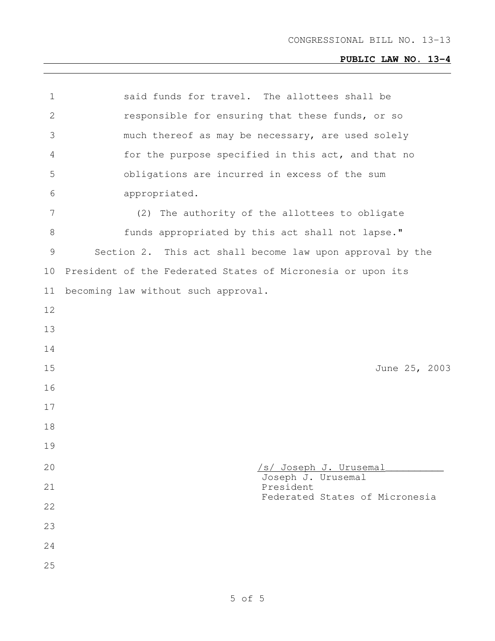| $\mathbf 1$  | said funds for travel. The allottees shall be               |
|--------------|-------------------------------------------------------------|
| $\mathbf{2}$ | responsible for ensuring that these funds, or so            |
| 3            | much thereof as may be necessary, are used solely           |
| 4            | for the purpose specified in this act, and that no          |
| 5            | obligations are incurred in excess of the sum               |
| 6            | appropriated.                                               |
| 7            | (2) The authority of the allottees to obligate              |
| 8            | funds appropriated by this act shall not lapse."            |
| 9            | Section 2. This act shall become law upon approval by the   |
| 10           | President of the Federated States of Micronesia or upon its |
| 11           | becoming law without such approval.                         |
| 12           |                                                             |
| 13           |                                                             |
| 14           |                                                             |
| 15           | June 25, 2003                                               |
| 16           |                                                             |
| 17           |                                                             |
| 18           |                                                             |
| 19           |                                                             |
| 20           | <u>/s/ Joseph J. Urusemal</u>                               |
| 21           | Joseph J. Urusemal<br>President                             |
| 22           | Federated States of Micronesia                              |
| 23           |                                                             |
| 24           |                                                             |
| 25           |                                                             |